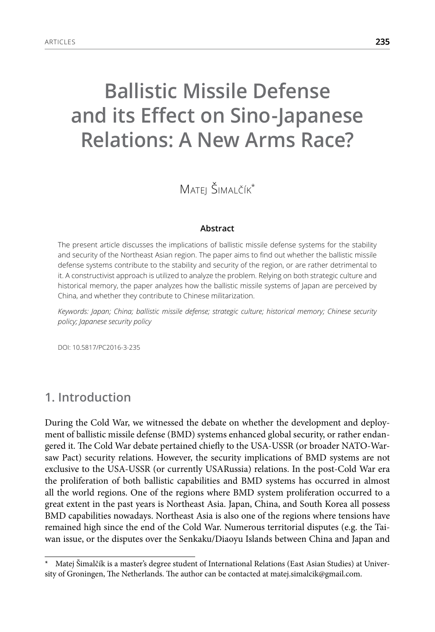# **Ballistic Missile Defense and its Effect on Sino-Japanese Relations: A New Arms Race?**

Matej Šimalčík\*

#### **Abstract**

The present article discusses the implications of ballistic missile defense systems for the stability and security of the Northeast Asian region. The paper aims to find out whether the ballistic missile defense systems contribute to the stability and security of the region, or are rather detrimental to it. A constructivist approach is utilized to analyze the problem. Relying on both strategic culture and historical memory, the paper analyzes how the ballistic missile systems of Japan are perceived by China, and whether they contribute to Chinese militarization.

*Keywords: Japan; China; ballistic missile defense; strategic culture; historical memory; Chinese security policy; Japanese security policy*

DOI: 10.5817/PC2016-3-235

# **1. Introduction**

During the Cold War, we witnessed the debate on whether the development and deployment of ballistic missile defense (BMD) systems enhanced global security, or rather endangered it. The Cold War debate pertained chiefly to the USA-USSR (or broader NATO-Warsaw Pact) security relations. However, the security implications of BMD systems are not exclusive to the USA-USSR (or currently USARussia) relations. In the post-Cold War era the proliferation of both ballistic capabilities and BMD systems has occurred in almost all the world regions. One of the regions where BMD system proliferation occurred to a great extent in the past years is Northeast Asia. Japan, China, and South Korea all possess BMD capabilities nowadays. Northeast Asia is also one of the regions where tensions have remained high since the end of the Cold War. Numerous territorial disputes (e.g. the Taiwan issue, or the disputes over the Senkaku/Diaoyu Islands between China and Japan and

Matej Šimalčík is a master's degree student of International Relations (East Asian Studies) at University of Groningen, The Netherlands. The author can be contacted at matej.simalcik@gmail.com.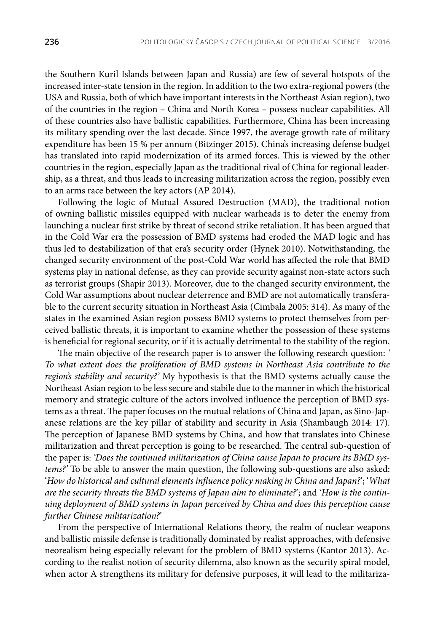the Southern Kuril Islands between Japan and Russia) are few of several hotspots of the increased inter-state tension in the region. In addition to the two extra-regional powers (the USA and Russia, both of which have important interests in the Northeast Asian region), two of the countries in the region – China and North Korea – possess nuclear capabilities. All of these countries also have ballistic capabilities. Furthermore, China has been increasing its military spending over the last decade. Since 1997, the average growth rate of military expenditure has been 15 % per annum (Bitzinger 2015). China's increasing defense budget has translated into rapid modernization of its armed forces. This is viewed by the other countries in the region, especially Japan as the traditional rival of China for regional leadership, as a threat, and thus leads to increasing militarization across the region, possibly even to an arms race between the key actors (AP 2014).

Following the logic of Mutual Assured Destruction (MAD), the traditional notion of owning ballistic missiles equipped with nuclear warheads is to deter the enemy from launching a nuclear first strike by threat of second strike retaliation. It has been argued that in the Cold War era the possession of BMD systems had eroded the MAD logic and has thus led to destabilization of that era's security order (Hynek 2010). Notwithstanding, the changed security environment of the post-Cold War world has affected the role that BMD systems play in national defense, as they can provide security against non-state actors such as terrorist groups (Shapir 2013). Moreover, due to the changed security environment, the Cold War assumptions about nuclear deterrence and BMD are not automatically transferable to the current security situation in Northeast Asia (Cimbala 2005: 314). As many of the states in the examined Asian region possess BMD systems to protect themselves from perceived ballistic threats, it is important to examine whether the possession of these systems is beneficial for regional security, or if it is actually detrimental to the stability of the region.

The main objective of the research paper is to answer the following research question: *' To what extent does the proliferation of BMD systems in Northeast Asia contribute to the region's stability and security?'* My hypothesis is that the BMD systems actually cause the Northeast Asian region to be less secure and stabile due to the manner in which the historical memory and strategic culture of the actors involved influence the perception of BMD systems as a threat. The paper focuses on the mutual relations of China and Japan, as Sino-Japanese relations are the key pillar of stability and security in Asia (Shambaugh 2014: 17). The perception of Japanese BMD systems by China, and how that translates into Chinese militarization and threat perception is going to be researched. The central sub-question of the paper is: *'Does the continued militarization of China cause Japan to procure its BMD systems?'* To be able to answer the main question, the following sub-questions are also asked: '*How do historical and cultural elements influence policy making in China and Japan?*'; '*What are the security threats the BMD systems of Japan aim to eliminate?*'; and '*How is the continuing deployment of BMD systems in Japan perceived by China and does this perception cause further Chinese militarization?*'

From the perspective of International Relations theory, the realm of nuclear weapons and ballistic missile defense is traditionally dominated by realist approaches, with defensive neorealism being especially relevant for the problem of BMD systems (Kantor 2013). According to the realist notion of security dilemma, also known as the security spiral model, when actor A strengthens its military for defensive purposes, it will lead to the militariza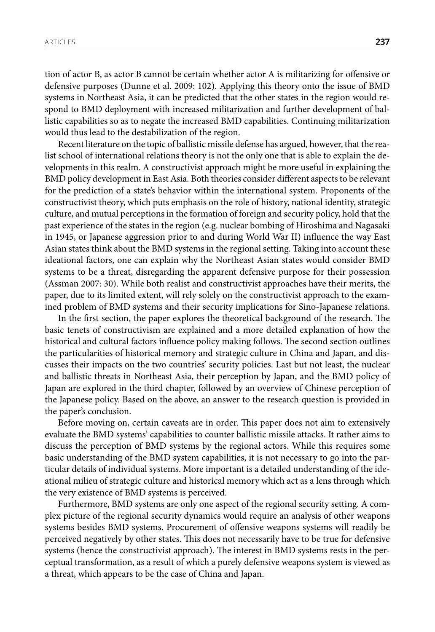tion of actor B, as actor B cannot be certain whether actor A is militarizing for offensive or defensive purposes (Dunne et al. 2009: 102). Applying this theory onto the issue of BMD systems in Northeast Asia, it can be predicted that the other states in the region would respond to BMD deployment with increased militarization and further development of ballistic capabilities so as to negate the increased BMD capabilities. Continuing militarization would thus lead to the destabilization of the region.

Recent literature on the topic of ballistic missile defense has argued, however, that the realist school of international relations theory is not the only one that is able to explain the developments in this realm. A constructivist approach might be more useful in explaining the BMD policy development in East Asia. Both theories consider different aspects to be relevant for the prediction of a state's behavior within the international system. Proponents of the constructivist theory, which puts emphasis on the role of history, national identity, strategic culture, and mutual perceptions in the formation of foreign and security policy, hold that the past experience of the states in the region (e.g. nuclear bombing of Hiroshima and Nagasaki in 1945, or Japanese aggression prior to and during World War II) influence the way East Asian states think about the BMD systems in the regional setting. Taking into account these ideational factors, one can explain why the Northeast Asian states would consider BMD systems to be a threat, disregarding the apparent defensive purpose for their possession (Assman 2007: 30). While both realist and constructivist approaches have their merits, the paper, due to its limited extent, will rely solely on the constructivist approach to the examined problem of BMD systems and their security implications for Sino-Japanese relations.

In the first section, the paper explores the theoretical background of the research. The basic tenets of constructivism are explained and a more detailed explanation of how the historical and cultural factors influence policy making follows. The second section outlines the particularities of historical memory and strategic culture in China and Japan, and discusses their impacts on the two countries' security policies. Last but not least, the nuclear and ballistic threats in Northeast Asia, their perception by Japan, and the BMD policy of Japan are explored in the third chapter, followed by an overview of Chinese perception of the Japanese policy. Based on the above, an answer to the research question is provided in the paper's conclusion.

Before moving on, certain caveats are in order. This paper does not aim to extensively evaluate the BMD systems' capabilities to counter ballistic missile attacks. It rather aims to discuss the perception of BMD systems by the regional actors. While this requires some basic understanding of the BMD system capabilities, it is not necessary to go into the particular details of individual systems. More important is a detailed understanding of the ideational milieu of strategic culture and historical memory which act as a lens through which the very existence of BMD systems is perceived.

Furthermore, BMD systems are only one aspect of the regional security setting. A complex picture of the regional security dynamics would require an analysis of other weapons systems besides BMD systems. Procurement of offensive weapons systems will readily be perceived negatively by other states. This does not necessarily have to be true for defensive systems (hence the constructivist approach). The interest in BMD systems rests in the perceptual transformation, as a result of which a purely defensive weapons system is viewed as a threat, which appears to be the case of China and Japan.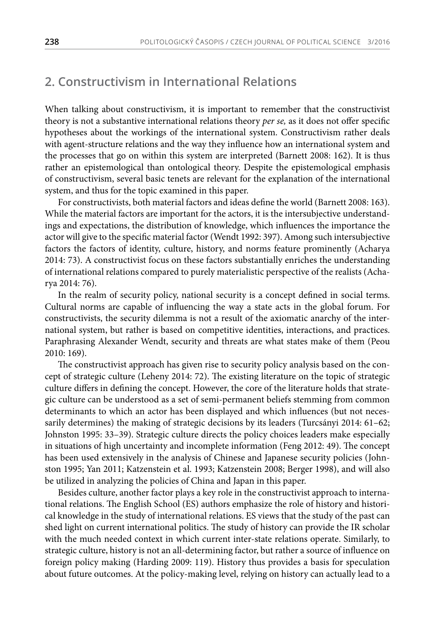#### **2. Constructivism in International Relations**

When talking about constructivism, it is important to remember that the constructivist theory is not a substantive international relations theory *per se,* as it does not offer specific hypotheses about the workings of the international system. Constructivism rather deals with agent-structure relations and the way they influence how an international system and the processes that go on within this system are interpreted (Barnett 2008: 162). It is thus rather an epistemological than ontological theory. Despite the epistemological emphasis of constructivism, several basic tenets are relevant for the explanation of the international system, and thus for the topic examined in this paper.

For constructivists, both material factors and ideas define the world (Barnett 2008: 163). While the material factors are important for the actors, it is the intersubjective understandings and expectations, the distribution of knowledge, which influences the importance the actor will give to the specific material factor (Wendt 1992: 397). Among such intersubjective factors the factors of identity, culture, history, and norms feature prominently (Acharya 2014: 73). A constructivist focus on these factors substantially enriches the understanding of international relations compared to purely materialistic perspective of the realists (Acharya 2014: 76).

In the realm of security policy, national security is a concept defined in social terms. Cultural norms are capable of influencing the way a state acts in the global forum. For constructivists, the security dilemma is not a result of the axiomatic anarchy of the international system, but rather is based on competitive identities, interactions, and practices. Paraphrasing Alexander Wendt, security and threats are what states make of them (Peou 2010: 169).

The constructivist approach has given rise to security policy analysis based on the concept of strategic culture (Leheny 2014: 72). The existing literature on the topic of strategic culture differs in defining the concept. However, the core of the literature holds that strategic culture can be understood as a set of semi-permanent beliefs stemming from common determinants to which an actor has been displayed and which influences (but not necessarily determines) the making of strategic decisions by its leaders (Turcsányi 2014: 61–62; Johnston 1995: 33–39). Strategic culture directs the policy choices leaders make especially in situations of high uncertainty and incomplete information (Feng 2012: 49). The concept has been used extensively in the analysis of Chinese and Japanese security policies (Johnston 1995; Yan 2011; Katzenstein et al. 1993; Katzenstein 2008; Berger 1998), and will also be utilized in analyzing the policies of China and Japan in this paper.

Besides culture, another factor plays a key role in the constructivist approach to international relations. The English School (ES) authors emphasize the role of history and historical knowledge in the study of international relations. ES views that the study of the past can shed light on current international politics. The study of history can provide the IR scholar with the much needed context in which current inter-state relations operate. Similarly, to strategic culture, history is not an all-determining factor, but rather a source of influence on foreign policy making (Harding 2009: 119). History thus provides a basis for speculation about future outcomes. At the policy-making level, relying on history can actually lead to a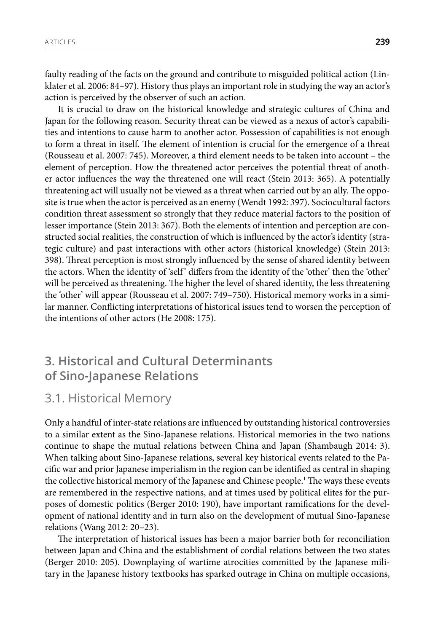faulty reading of the facts on the ground and contribute to misguided political action (Linklater et al. 2006: 84–97). History thus plays an important role in studying the way an actor's action is perceived by the observer of such an action.

It is crucial to draw on the historical knowledge and strategic cultures of China and Japan for the following reason. Security threat can be viewed as a nexus of actor's capabilities and intentions to cause harm to another actor. Possession of capabilities is not enough to form a threat in itself. The element of intention is crucial for the emergence of a threat (Rousseau et al. 2007: 745). Moreover, a third element needs to be taken into account – the element of perception. How the threatened actor perceives the potential threat of another actor influences the way the threatened one will react (Stein 2013: 365). A potentially threatening act will usually not be viewed as a threat when carried out by an ally. The opposite is true when the actor is perceived as an enemy (Wendt 1992: 397). Sociocultural factors condition threat assessment so strongly that they reduce material factors to the position of lesser importance (Stein 2013: 367). Both the elements of intention and perception are constructed social realities, the construction of which is influenced by the actor's identity (strategic culture) and past interactions with other actors (historical knowledge) (Stein 2013: 398). Threat perception is most strongly influenced by the sense of shared identity between the actors. When the identity of 'self ' differs from the identity of the 'other' then the 'other' will be perceived as threatening. The higher the level of shared identity, the less threatening the 'other' will appear (Rousseau et al. 2007: 749–750). Historical memory works in a similar manner. Conflicting interpretations of historical issues tend to worsen the perception of the intentions of other actors (He 2008: 175).

# **3. Historical and Cultural Determinants of Sino-Japanese Relations**

# 3.1. Historical Memory

Only a handful of inter-state relations are influenced by outstanding historical controversies to a similar extent as the Sino-Japanese relations. Historical memories in the two nations continue to shape the mutual relations between China and Japan (Shambaugh 2014: 3). When talking about Sino-Japanese relations, several key historical events related to the Pacific war and prior Japanese imperialism in the region can be identified as central in shaping the collective historical memory of the Japanese and Chinese people.1 The ways these events are remembered in the respective nations, and at times used by political elites for the purposes of domestic politics (Berger 2010: 190), have important ramifications for the development of national identity and in turn also on the development of mutual Sino-Japanese relations (Wang 2012: 20–23).

The interpretation of historical issues has been a major barrier both for reconciliation between Japan and China and the establishment of cordial relations between the two states (Berger 2010: 205). Downplaying of wartime atrocities committed by the Japanese military in the Japanese history textbooks has sparked outrage in China on multiple occasions,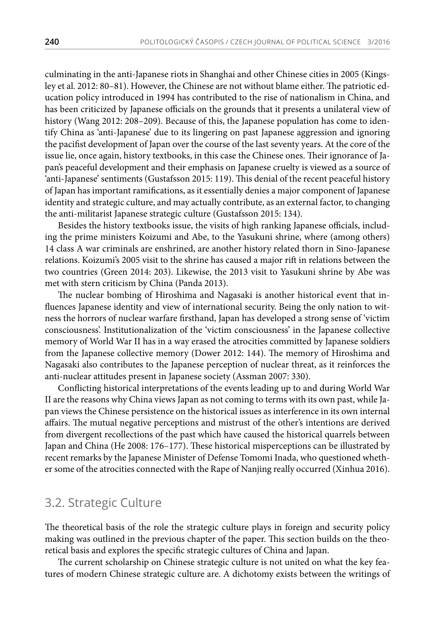culminating in the anti-Japanese riots in Shanghai and other Chinese cities in 2005 (Kingsley et al. 2012: 80–81). However, the Chinese are not without blame either. The patriotic education policy introduced in 1994 has contributed to the rise of nationalism in China, and has been criticized by Japanese officials on the grounds that it presents a unilateral view of history (Wang 2012: 208–209). Because of this, the Japanese population has come to identify China as 'anti-Japanese' due to its lingering on past Japanese aggression and ignoring the pacifist development of Japan over the course of the last seventy years. At the core of the issue lie, once again, history textbooks, in this case the Chinese ones. Their ignorance of Japan's peaceful development and their emphasis on Japanese cruelty is viewed as a source of 'anti-Japanese' sentiments (Gustafsson 2015: 119). This denial of the recent peaceful history of Japan has important ramifications, as it essentially denies a major component of Japanese identity and strategic culture, and may actually contribute, as an external factor, to changing the anti-militarist Japanese strategic culture (Gustafsson 2015: 134).

Besides the history textbooks issue, the visits of high ranking Japanese officials, including the prime ministers Koizumi and Abe, to the Yasukuni shrine, where (among others) 14 class A war criminals are enshrined, are another history related thorn in Sino-Japanese relations. Koizumi's 2005 visit to the shrine has caused a major rift in relations between the two countries (Green 2014: 203). Likewise, the 2013 visit to Yasukuni shrine by Abe was met with stern criticism by China (Panda 2013).

The nuclear bombing of Hiroshima and Nagasaki is another historical event that influences Japanese identity and view of international security. Being the only nation to witness the horrors of nuclear warfare firsthand, Japan has developed a strong sense of 'victim consciousness'. Institutionalization of the 'victim consciousness' in the Japanese collective memory of World War II has in a way erased the atrocities committed by Japanese soldiers from the Japanese collective memory (Dower 2012: 144). The memory of Hiroshima and Nagasaki also contributes to the Japanese perception of nuclear threat, as it reinforces the anti-nuclear attitudes present in Japanese society (Assman 2007: 330).

Conflicting historical interpretations of the events leading up to and during World War II are the reasons why China views Japan as not coming to terms with its own past, while Japan views the Chinese persistence on the historical issues as interference in its own internal affairs. The mutual negative perceptions and mistrust of the other's intentions are derived from divergent recollections of the past which have caused the historical quarrels between Japan and China (He 2008: 176–177). These historical misperceptions can be illustrated by recent remarks by the Japanese Minister of Defense Tomomi Inada, who questioned whether some of the atrocities connected with the Rape of Nanjing really occurred (Xinhua 2016).

# 3.2. Strategic Culture

The theoretical basis of the role the strategic culture plays in foreign and security policy making was outlined in the previous chapter of the paper. This section builds on the theoretical basis and explores the specific strategic cultures of China and Japan.

The current scholarship on Chinese strategic culture is not united on what the key features of modern Chinese strategic culture are. A dichotomy exists between the writings of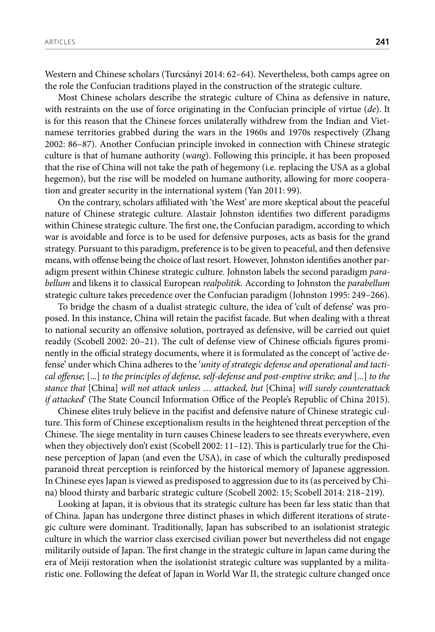Western and Chinese scholars (Turcsányi 2014: 62–64). Nevertheless, both camps agree on the role the Confucian traditions played in the construction of the strategic culture.

Most Chinese scholars describe the strategic culture of China as defensive in nature, with restraints on the use of force originating in the Confucian principle of virtue (*de*). It is for this reason that the Chinese forces unilaterally withdrew from the Indian and Vietnamese territories grabbed during the wars in the 1960s and 1970s respectively (Zhang 2002: 86–87). Another Confucian principle invoked in connection with Chinese strategic culture is that of humane authority (*wang*). Following this principle, it has been proposed that the rise of China will not take the path of hegemony (i.e. replacing the USA as a global hegemon), but the rise will be modeled on humane authority, allowing for more cooperation and greater security in the international system (Yan 2011: 99).

On the contrary, scholars affiliated with 'the West' are more skeptical about the peaceful nature of Chinese strategic culture. Alastair Johnston identifies two different paradigms within Chinese strategic culture. The first one, the Confucian paradigm, according to which war is avoidable and force is to be used for defensive purposes, acts as basis for the grand strategy. Pursuant to this paradigm, preference is to be given to peaceful, and then defensive means, with offense being the choice of last resort. However, Johnston identifies another paradigm present within Chinese strategic culture. Johnston labels the second paradigm *parabellum* and likens it to classical European *realpolitik.* According to Johnston the *parabellum*  strategic culture takes precedence over the Confucian paradigm (Johnston 1995: 249–266).

To bridge the chasm of a dualist strategic culture, the idea of 'cult of defense' was proposed. In this instance, China will retain the pacifist facade. But when dealing with a threat to national security an offensive solution, portrayed as defensive, will be carried out quiet readily (Scobell 2002: 20–21). The cult of defense view of Chinese officials figures prominently in the official strategy documents, where it is formulated as the concept of 'active defense' under which China adheres to the '*unity of strategic defense and operational and tactical offense;* [...] *to the principles of defense, self-defense and post-emptive strike; and* [...] *to the stance that* [China] *will not attack unless … attacked, but* [China] *will surely counterattack if attacked*' (The State Council Information Office of the People's Republic of China 2015).

Chinese elites truly believe in the pacifist and defensive nature of Chinese strategic culture. This form of Chinese exceptionalism results in the heightened threat perception of the Chinese. The siege mentality in turn causes Chinese leaders to see threats everywhere, even when they objectively don't exist (Scobell 2002: 11–12). This is particularly true for the Chinese perception of Japan (and even the USA), in case of which the culturally predisposed paranoid threat perception is reinforced by the historical memory of Japanese aggression. In Chinese eyes Japan is viewed as predisposed to aggression due to its (as perceived by China) blood thirsty and barbaric strategic culture (Scobell 2002: 15; Scobell 2014: 218–219).

Looking at Japan, it is obvious that its strategic culture has been far less static than that of China. Japan has undergone three distinct phases in which different iterations of strategic culture were dominant. Traditionally, Japan has subscribed to an isolationist strategic culture in which the warrior class exercised civilian power but nevertheless did not engage militarily outside of Japan. The first change in the strategic culture in Japan came during the era of Meiji restoration when the isolationist strategic culture was supplanted by a militaristic one. Following the defeat of Japan in World War II, the strategic culture changed once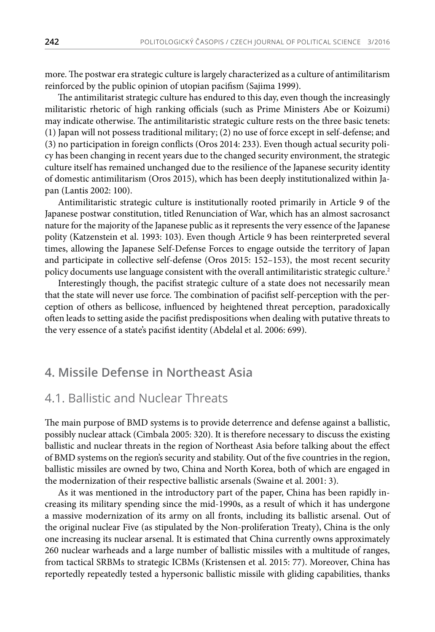more. The postwar era strategic culture is largely characterized as a culture of antimilitarism reinforced by the public opinion of utopian pacifism (Sajima 1999).

The antimilitarist strategic culture has endured to this day, even though the increasingly militaristic rhetoric of high ranking officials (such as Prime Ministers Abe or Koizumi) may indicate otherwise. The antimilitaristic strategic culture rests on the three basic tenets: (1) Japan will not possess traditional military; (2) no use of force except in self-defense; and (3) no participation in foreign conflicts (Oros 2014: 233). Even though actual security policy has been changing in recent years due to the changed security environment, the strategic culture itself has remained unchanged due to the resilience of the Japanese security identity of domestic antimilitarism (Oros 2015), which has been deeply institutionalized within Japan (Lantis 2002: 100).

Antimilitaristic strategic culture is institutionally rooted primarily in Article 9 of the Japanese postwar constitution, titled Renunciation of War, which has an almost sacrosanct nature for the majority of the Japanese public as it represents the very essence of the Japanese polity (Katzenstein et al. 1993: 103). Even though Article 9 has been reinterpreted several times, allowing the Japanese Self-Defense Forces to engage outside the territory of Japan and participate in collective self-defense (Oros 2015: 152–153), the most recent security policy documents use language consistent with the overall antimilitaristic strategic culture.<sup>2</sup>

Interestingly though, the pacifist strategic culture of a state does not necessarily mean that the state will never use force. The combination of pacifist self-perception with the perception of others as bellicose, influenced by heightened threat perception, paradoxically often leads to setting aside the pacifist predispositions when dealing with putative threats to the very essence of a state's pacifist identity (Abdelal et al. 2006: 699).

#### **4. Missile Defense in Northeast Asia**

### 4.1. Ballistic and Nuclear Threats

The main purpose of BMD systems is to provide deterrence and defense against a ballistic, possibly nuclear attack (Cimbala 2005: 320). It is therefore necessary to discuss the existing ballistic and nuclear threats in the region of Northeast Asia before talking about the effect of BMD systems on the region's security and stability. Out of the five countries in the region, ballistic missiles are owned by two, China and North Korea, both of which are engaged in the modernization of their respective ballistic arsenals (Swaine et al. 2001: 3).

As it was mentioned in the introductory part of the paper, China has been rapidly increasing its military spending since the mid-1990s, as a result of which it has undergone a massive modernization of its army on all fronts, including its ballistic arsenal. Out of the original nuclear Five (as stipulated by the Non-proliferation Treaty), China is the only one increasing its nuclear arsenal. It is estimated that China currently owns approximately 260 nuclear warheads and a large number of ballistic missiles with a multitude of ranges, from tactical SRBMs to strategic ICBMs (Kristensen et al. 2015: 77). Moreover, China has reportedly repeatedly tested a hypersonic ballistic missile with gliding capabilities, thanks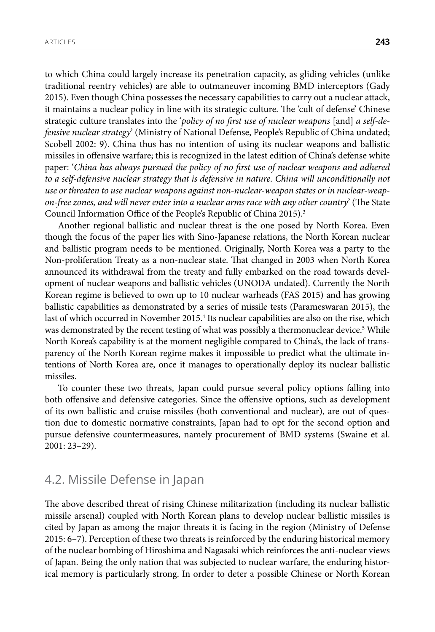to which China could largely increase its penetration capacity, as gliding vehicles (unlike traditional reentry vehicles) are able to outmaneuver incoming BMD interceptors (Gady 2015). Even though China possesses the necessary capabilities to carry out a nuclear attack, it maintains a nuclear policy in line with its strategic culture. The 'cult of defense' Chinese strategic culture translates into the '*policy of no first use of nuclear weapons* [and] *a self-defensive nuclear strategy*' (Ministry of National Defense, People's Republic of China undated; Scobell 2002: 9). China thus has no intention of using its nuclear weapons and ballistic missiles in offensive warfare; this is recognized in the latest edition of China's defense white paper: '*China has always pursued the policy of no first use of nuclear weapons and adhered*  to a self-defensive nuclear strategy that is defensive in nature. China will unconditionally not *use or threaten to use nuclear weapons against non-nuclear-weapon states or in nuclear-weapon-free zones, and will never enter into a nuclear arms race with any other country*' (The State Council Information Office of the People's Republic of China 2015).<sup>3</sup>

Another regional ballistic and nuclear threat is the one posed by North Korea. Even though the focus of the paper lies with Sino-Japanese relations, the North Korean nuclear and ballistic program needs to be mentioned. Originally, North Korea was a party to the Non-proliferation Treaty as a non-nuclear state. That changed in 2003 when North Korea announced its withdrawal from the treaty and fully embarked on the road towards development of nuclear weapons and ballistic vehicles (UNODA undated). Currently the North Korean regime is believed to own up to 10 nuclear warheads (FAS 2015) and has growing ballistic capabilities as demonstrated by a series of missile tests (Parameswaran 2015), the last of which occurred in November 2015.<sup>4</sup> Its nuclear capabilities are also on the rise, which was demonstrated by the recent testing of what was possibly a thermonuclear device.5 While North Korea's capability is at the moment negligible compared to China's, the lack of transparency of the North Korean regime makes it impossible to predict what the ultimate intentions of North Korea are, once it manages to operationally deploy its nuclear ballistic missiles.

To counter these two threats, Japan could pursue several policy options falling into both offensive and defensive categories. Since the offensive options, such as development of its own ballistic and cruise missiles (both conventional and nuclear), are out of question due to domestic normative constraints, Japan had to opt for the second option and pursue defensive countermeasures, namely procurement of BMD systems (Swaine et al. 2001: 23–29).

# 4.2. Missile Defense in Japan

The above described threat of rising Chinese militarization (including its nuclear ballistic missile arsenal) coupled with North Korean plans to develop nuclear ballistic missiles is cited by Japan as among the major threats it is facing in the region (Ministry of Defense 2015: 6–7). Perception of these two threats is reinforced by the enduring historical memory of the nuclear bombing of Hiroshima and Nagasaki which reinforces the anti-nuclear views of Japan. Being the only nation that was subjected to nuclear warfare, the enduring historical memory is particularly strong. In order to deter a possible Chinese or North Korean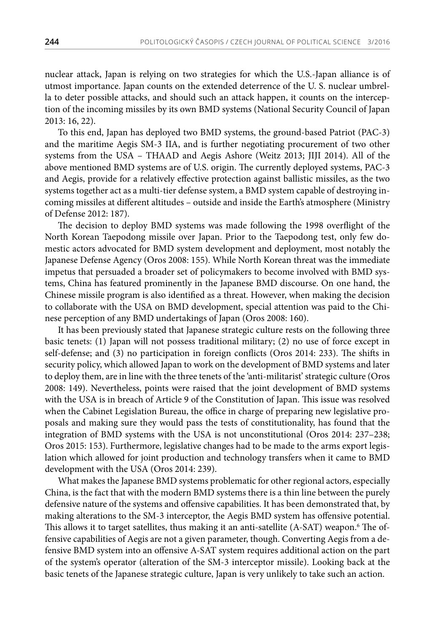nuclear attack, Japan is relying on two strategies for which the U.S.-Japan alliance is of utmost importance. Japan counts on the extended deterrence of the U. S. nuclear umbrella to deter possible attacks, and should such an attack happen, it counts on the interception of the incoming missiles by its own BMD systems (National Security Council of Japan 2013: 16, 22).

To this end, Japan has deployed two BMD systems, the ground-based Patriot (PAC-3) and the maritime Aegis SM-3 IIA, and is further negotiating procurement of two other systems from the USA – THAAD and Aegis Ashore (Weitz 2013; JIJI 2014). All of the above mentioned BMD systems are of U.S. origin. The currently deployed systems, PAC-3 and Aegis, provide for a relatively effective protection against ballistic missiles, as the two systems together act as a multi-tier defense system, a BMD system capable of destroying incoming missiles at different altitudes – outside and inside the Earth's atmosphere (Ministry of Defense 2012: 187).

The decision to deploy BMD systems was made following the 1998 overflight of the North Korean Taepodong missile over Japan. Prior to the Taepodong test, only few domestic actors advocated for BMD system development and deployment, most notably the Japanese Defense Agency (Oros 2008: 155). While North Korean threat was the immediate impetus that persuaded a broader set of policymakers to become involved with BMD systems, China has featured prominently in the Japanese BMD discourse. On one hand, the Chinese missile program is also identified as a threat. However, when making the decision to collaborate with the USA on BMD development, special attention was paid to the Chinese perception of any BMD undertakings of Japan (Oros 2008: 160).

It has been previously stated that Japanese strategic culture rests on the following three basic tenets: (1) Japan will not possess traditional military; (2) no use of force except in self-defense; and (3) no participation in foreign conflicts (Oros 2014: 233). The shifts in security policy, which allowed Japan to work on the development of BMD systems and later to deploy them, are in line with the three tenets of the 'anti-militarist' strategic culture (Oros 2008: 149). Nevertheless, points were raised that the joint development of BMD systems with the USA is in breach of Article 9 of the Constitution of Japan. This issue was resolved when the Cabinet Legislation Bureau, the office in charge of preparing new legislative proposals and making sure they would pass the tests of constitutionality, has found that the integration of BMD systems with the USA is not unconstitutional (Oros 2014: 237–238; Oros 2015: 153). Furthermore, legislative changes had to be made to the arms export legislation which allowed for joint production and technology transfers when it came to BMD development with the USA (Oros 2014: 239).

What makes the Japanese BMD systems problematic for other regional actors, especially China, is the fact that with the modern BMD systems there is a thin line between the purely defensive nature of the systems and offensive capabilities. It has been demonstrated that, by making alterations to the SM-3 interceptor, the Aegis BMD system has offensive potential. This allows it to target satellites, thus making it an anti-satellite (A-SAT) weapon.<sup>6</sup> The offensive capabilities of Aegis are not a given parameter, though. Converting Aegis from a defensive BMD system into an offensive A-SAT system requires additional action on the part of the system's operator (alteration of the SM-3 interceptor missile). Looking back at the basic tenets of the Japanese strategic culture, Japan is very unlikely to take such an action.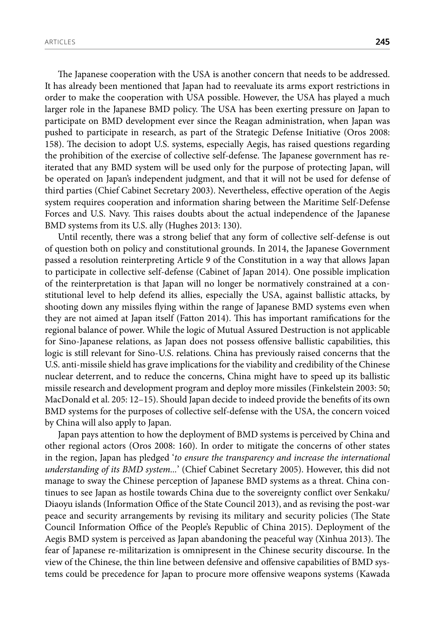The Japanese cooperation with the USA is another concern that needs to be addressed. It has already been mentioned that Japan had to reevaluate its arms export restrictions in order to make the cooperation with USA possible. However, the USA has played a much larger role in the Japanese BMD policy. The USA has been exerting pressure on Japan to participate on BMD development ever since the Reagan administration, when Japan was pushed to participate in research, as part of the Strategic Defense Initiative (Oros 2008: 158). The decision to adopt U.S. systems, especially Aegis, has raised questions regarding the prohibition of the exercise of collective self-defense. The Japanese government has reiterated that any BMD system will be used only for the purpose of protecting Japan, will be operated on Japan's independent judgment, and that it will not be used for defense of third parties (Chief Cabinet Secretary 2003). Nevertheless, effective operation of the Aegis system requires cooperation and information sharing between the Maritime Self-Defense Forces and U.S. Navy. This raises doubts about the actual independence of the Japanese BMD systems from its U.S. ally (Hughes 2013: 130).

Until recently, there was a strong belief that any form of collective self-defense is out of question both on policy and constitutional grounds. In 2014, the Japanese Government passed a resolution reinterpreting Article 9 of the Constitution in a way that allows Japan to participate in collective self-defense (Cabinet of Japan 2014). One possible implication of the reinterpretation is that Japan will no longer be normatively constrained at a constitutional level to help defend its allies, especially the USA, against ballistic attacks, by shooting down any missiles flying within the range of Japanese BMD systems even when they are not aimed at Japan itself (Fatton 2014). This has important ramifications for the regional balance of power. While the logic of Mutual Assured Destruction is not applicable for Sino-Japanese relations, as Japan does not possess offensive ballistic capabilities, this logic is still relevant for Sino-U.S. relations. China has previously raised concerns that the U.S. anti-missile shield has grave implications for the viability and credibility of the Chinese nuclear deterrent, and to reduce the concerns, China might have to speed up its ballistic missile research and development program and deploy more missiles (Finkelstein 2003: 50; MacDonald et al. 205: 12–15). Should Japan decide to indeed provide the benefits of its own BMD systems for the purposes of collective self-defense with the USA, the concern voiced by China will also apply to Japan.

Japan pays attention to how the deployment of BMD systems is perceived by China and other regional actors (Oros 2008: 160). In order to mitigate the concerns of other states in the region, Japan has pledged '*to ensure the transparency and increase the international understanding of its BMD system...*' (Chief Cabinet Secretary 2005). However, this did not manage to sway the Chinese perception of Japanese BMD systems as a threat. China continues to see Japan as hostile towards China due to the sovereignty conflict over Senkaku/ Diaoyu islands (Information Office of the State Council 2013), and as revising the post-war peace and security arrangements by revising its military and security policies (The State Council Information Office of the People's Republic of China 2015). Deployment of the Aegis BMD system is perceived as Japan abandoning the peaceful way (Xinhua 2013). The fear of Japanese re-militarization is omnipresent in the Chinese security discourse. In the view of the Chinese, the thin line between defensive and offensive capabilities of BMD systems could be precedence for Japan to procure more offensive weapons systems (Kawada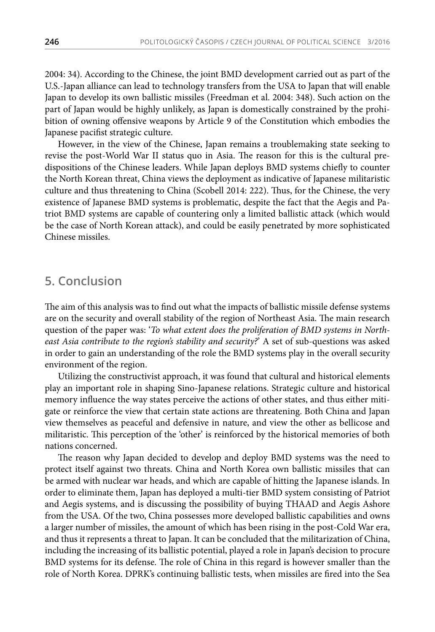2004: 34). According to the Chinese, the joint BMD development carried out as part of the U.S.-Japan alliance can lead to technology transfers from the USA to Japan that will enable Japan to develop its own ballistic missiles (Freedman et al. 2004: 348). Such action on the part of Japan would be highly unlikely, as Japan is domestically constrained by the prohibition of owning offensive weapons by Article 9 of the Constitution which embodies the Japanese pacifist strategic culture.

However, in the view of the Chinese, Japan remains a troublemaking state seeking to revise the post-World War II status quo in Asia. The reason for this is the cultural predispositions of the Chinese leaders. While Japan deploys BMD systems chiefly to counter the North Korean threat, China views the deployment as indicative of Japanese militaristic culture and thus threatening to China (Scobell 2014: 222). Thus, for the Chinese, the very existence of Japanese BMD systems is problematic, despite the fact that the Aegis and Patriot BMD systems are capable of countering only a limited ballistic attack (which would be the case of North Korean attack), and could be easily penetrated by more sophisticated Chinese missiles.

# **5. Conclusion**

The aim of this analysis was to find out what the impacts of ballistic missile defense systems are on the security and overall stability of the region of Northeast Asia. The main research question of the paper was: '*To what extent does the proliferation of BMD systems in Northeast Asia contribute to the region's stability and security?*' A set of sub-questions was asked in order to gain an understanding of the role the BMD systems play in the overall security environment of the region.

Utilizing the constructivist approach, it was found that cultural and historical elements play an important role in shaping Sino-Japanese relations. Strategic culture and historical memory influence the way states perceive the actions of other states, and thus either mitigate or reinforce the view that certain state actions are threatening. Both China and Japan view themselves as peaceful and defensive in nature, and view the other as bellicose and militaristic. This perception of the 'other' is reinforced by the historical memories of both nations concerned.

The reason why Japan decided to develop and deploy BMD systems was the need to protect itself against two threats. China and North Korea own ballistic missiles that can be armed with nuclear war heads, and which are capable of hitting the Japanese islands. In order to eliminate them, Japan has deployed a multi-tier BMD system consisting of Patriot and Aegis systems, and is discussing the possibility of buying THAAD and Aegis Ashore from the USA. Of the two, China possesses more developed ballistic capabilities and owns a larger number of missiles, the amount of which has been rising in the post-Cold War era, and thus it represents a threat to Japan. It can be concluded that the militarization of China, including the increasing of its ballistic potential, played a role in Japan's decision to procure BMD systems for its defense. The role of China in this regard is however smaller than the role of North Korea. DPRK's continuing ballistic tests, when missiles are fired into the Sea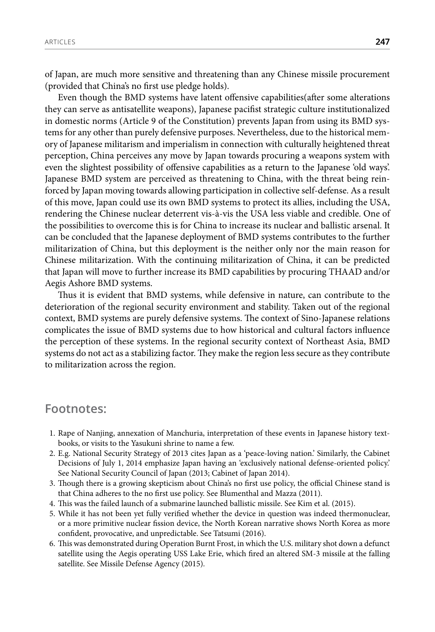of Japan, are much more sensitive and threatening than any Chinese missile procurement (provided that China's no first use pledge holds).

Even though the BMD systems have latent offensive capabilities(after some alterations they can serve as antisatellite weapons), Japanese pacifist strategic culture institutionalized in domestic norms (Article 9 of the Constitution) prevents Japan from using its BMD systems for any other than purely defensive purposes. Nevertheless, due to the historical memory of Japanese militarism and imperialism in connection with culturally heightened threat perception, China perceives any move by Japan towards procuring a weapons system with even the slightest possibility of offensive capabilities as a return to the Japanese 'old ways'. Japanese BMD system are perceived as threatening to China, with the threat being reinforced by Japan moving towards allowing participation in collective self-defense. As a result of this move, Japan could use its own BMD systems to protect its allies, including the USA, rendering the Chinese nuclear deterrent vis-à-vis the USA less viable and credible. One of the possibilities to overcome this is for China to increase its nuclear and ballistic arsenal. It can be concluded that the Japanese deployment of BMD systems contributes to the further militarization of China, but this deployment is the neither only nor the main reason for Chinese militarization. With the continuing militarization of China, it can be predicted that Japan will move to further increase its BMD capabilities by procuring THAAD and/or Aegis Ashore BMD systems.

Thus it is evident that BMD systems, while defensive in nature, can contribute to the deterioration of the regional security environment and stability. Taken out of the regional context, BMD systems are purely defensive systems. The context of Sino-Japanese relations complicates the issue of BMD systems due to how historical and cultural factors influence the perception of these systems. In the regional security context of Northeast Asia, BMD systems do not act as a stabilizing factor. They make the region less secure as they contribute to militarization across the region.

#### **Footnotes:**

- 1. Rape of Nanjing, annexation of Manchuria, interpretation of these events in Japanese history textbooks, or visits to the Yasukuni shrine to name a few.
- 2. E.g. National Security Strategy of 2013 cites Japan as a 'peace-loving nation.' Similarly, the Cabinet Decisions of July 1, 2014 emphasize Japan having an 'exclusively national defense-oriented policy.' See National Security Council of Japan (2013; Cabinet of Japan 2014).
- 3. Though there is a growing skepticism about China's no first use policy, the official Chinese stand is that China adheres to the no first use policy. See Blumenthal and Mazza (2011).
- 4. This was the failed launch of a submarine launched ballistic missile. See Kim et al. (2015).
- 5. While it has not been yet fully verified whether the device in question was indeed thermonuclear, or a more primitive nuclear fission device, the North Korean narrative shows North Korea as more confident, provocative, and unpredictable. See Tatsumi (2016).
- 6. This was demonstrated during Operation Burnt Frost, in which the U.S. military shot down a defunct satellite using the Aegis operating USS Lake Erie, which fired an altered SM-3 missile at the falling satellite. See Missile Defense Agency (2015)*.*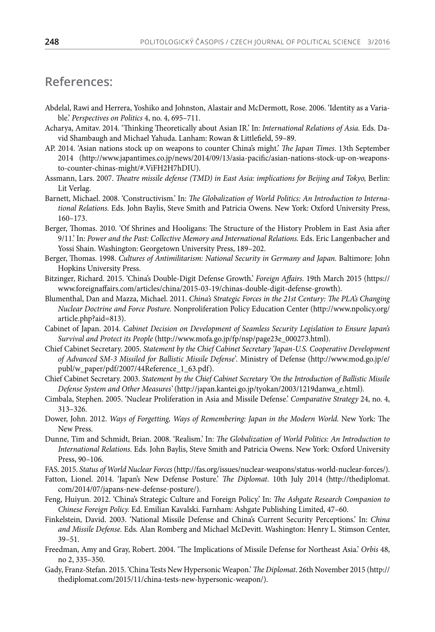# **References:**

- Abdelal, Rawi and Herrera, Yoshiko and Johnston, Alastair and McDermott, Rose. 2006. 'Identity as a Variable.' *Perspectives on Politics* 4, no. 4, 695–711.
- Acharya, Amitav. 2014. 'Thinking Theoretically about Asian IR.' In: *International Relations of Asia.* Eds. David Shambaugh and Michael Yahuda. Lanham: Rowan & Littlefield, 59–89.
- AP. 2014. 'Asian nations stock up on weapons to counter China's might.' *The Japan Times*. 13th September 2014 (http://www.japantimes.co.jp/news/2014/09/13/asia-pacific/asian-nations-stock-up-on-weaponsto-counter-chinas-might/#.ViFH2H7hDIU).
- Assmann, Lars. 2007. *Theatre missile defense (TMD) in East Asia: implications for Beijing and Tokyo,* Berlin: Lit Verlag.
- Barnett, Michael. 2008. 'Constructivism.' In: *The Globalization of World Politics: An Introduction to International Relations.* Eds. John Baylis, Steve Smith and Patricia Owens. New York: Oxford University Press, 160–173.
- Berger, Thomas. 2010. 'Of Shrines and Hooligans: The Structure of the History Problem in East Asia after 9/11.' In: *Power and the Past: Collective Memory and International Relations.* Eds. Eric Langenbacher and Yossi Shain. Washington: Georgetown University Press, 189–202.
- Berger, Thomas. 1998. *Cultures of Antimilitarism: National Security in Germany and Japan*. Baltimore: John Hopkins University Press.
- Bitzinger, Richard. 2015. 'China's Double-Digit Defense Growth.' *Foreign Affairs.* 19th March 2015 (https:// www.foreignaffairs.com/articles/china/2015-03-19/chinas-double-digit-defense-growth).
- Blumenthal, Dan and Mazza, Michael. 2011. *China's Strategic Forces in the 21st Century: The PLA's Changing Nuclear Doctrine and Force Posture.* Nonproliferation Policy Education Center (http://www.npolicy.org/ article.php?aid=813).
- Cabinet of Japan. 2014. *Cabinet Decision on Development of Seamless Security Legislation to Ensure Japan's Survival and Protect its People* (http://www.mofa.go.jp/fp/nsp/page23e\_000273.html).
- Chief Cabinet Secretary. 2005. *Statement by the Chief Cabinet Secretary 'Japan-U.S. Cooperative Development of Advanced SM-3 Missiled for Ballistic Missile Defense'*. Ministry of Defense (http://www.mod.go.jp/e/ publ/w\_paper/pdf/2007/44Reference\_1\_63.pdf).
- Chief Cabinet Secretary. 2003. *Statement by the Chief Cabinet Secretary 'On the Introduction of Ballistic Missile Defense System and Other Measures'* (http://japan.kantei.go.jp/tyokan/2003/1219danwa\_e.html)*.*
- Cimbala, Stephen. 2005. 'Nuclear Proliferation in Asia and Missile Defense.' *Comparative Strategy* 24, no. 4, 313–326.
- Dower, John. 2012. *Ways of Forgetting, Ways of Remembering: Japan in the Modern World.* New York: The New Press.
- Dunne, Tim and Schmidt, Brian. 2008. 'Realism.' In: *The Globalization of World Politics: An Introduction to International Relations.* Eds. John Baylis, Steve Smith and Patricia Owens. New York: Oxford University Press, 90–106.
- FAS. 2015. *Status of World Nuclear Forces* (http://fas.org/issues/nuclear-weapons/status-world-nuclear-forces/).
- Fatton, Lionel. 2014. 'Japan's New Defense Posture.' *The Diplomat*. 10th July 2014 (http://thediplomat. com/2014/07/japans-new-defense-posture/).
- Feng, Huiyun. 2012. 'China's Strategic Culture and Foreign Policy.' In: *The Ashgate Research Companion to Chinese Foreign Policy.* Ed. Emilian Kavalski. Farnham: Ashgate Publishing Limited, 47–60.
- Finkelstein, David. 2003. 'National Missile Defense and China's Current Security Perceptions.' In: *China and Missile Defense.* Eds. Alan Romberg and Michael McDevitt. Washington: Henry L. Stimson Center, 39–51.
- Freedman, Amy and Gray, Robert. 2004. 'The Implications of Missile Defense for Northeast Asia.' *Orbis* 48, no 2, 335–350.
- Gady, Franz-Stefan. 2015. 'China Tests New Hypersonic Weapon.' *The Diplomat*. 26th November 2015 (http:// thediplomat.com/2015/11/china-tests-new-hypersonic-weapon/).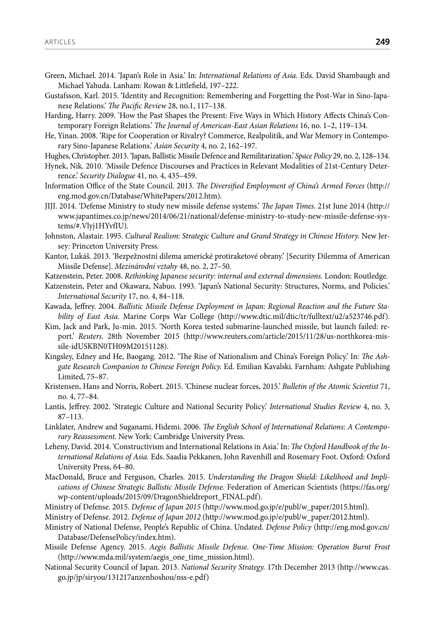Green, Michael. 2014. 'Japan's Role in Asia.' In: *International Relations of Asia.* Eds. David Shambaugh and Michael Yahuda. Lanham: Rowan & Littlefield, 197–222.

Gustafsson, Karl. 2015. 'Identity and Recognition: Remembering and Forgetting the Post-War in Sino-Japanese Relations.' *The Pacific Review* 28, no.1, 117–138.

- Harding, Harry. 2009. 'How the Past Shapes the Present: Five Ways in Which History Affects China's Contemporary Foreign Relations.' *The Journal of American-East Asian Relations* 16, no. 1–2, 119–134.
- He, Yinan. 2008. 'Ripe for Cooperation or Rivalry? Commerce, Realpolitik, and War Memory in Contemporary Sino-Japanese Relations.' *Asian Security* 4, no. 2, 162–197.
- Hughes, Christopher. 2013. 'Japan, Ballistic Missile Defence and Remilitarization.' *Space Policy* 29, no. 2, 128–134.
- Hynek, Nik. 2010. 'Missile Defence Discourses and Practices in Relevant Modalities of 21st-Century Deterrence.' *Security Dialogue* 41, no. 4, 435–459.
- Information Office of the State Council. 2013. *The Diversified Employment of China's Armed Forces* (http:// eng.mod.gov.cn/Database/WhitePapers/2012.htm).
- JIJI. 2014. 'Defense Ministry to study new missile defense systems.' *The Japan Times*. 21st June 2014 (http:// www.japantimes.co.jp/news/2014/06/21/national/defense-ministry-to-study-new-missile-defense-systems/#.Vlyj1HYvfIU).
- Johnston, Alastair. 1995. *Cultural Realism: Strategic Culture and Grand Strategy in Chinese History*. New Jersey: Princeton University Press.
- Kantor, Lukáš. 2013. 'Bezpežnostní dilema americké protiraketové obrany.' [Security Dilemma of American Missile Defense]. *Mezinárodní vztahy* 48, no. 2, 27–50.
- Katzenstein, Peter. 2008. *Rethinking Japanese security: internal and external dimensions.* London: Routledge.
- Katzenstein, Peter and Okawara, Nabuo. 1993. 'Japan's National Security: Structures, Norms, and Policies.' *International Security* 17, no. 4, 84–118.
- Kawada, Jeffrey. 2004. *Ballistic Missile Defense Deployment in Japan: Regional Reaction and the Future Stability of East Asia.* Marine Corps War College (http://www.dtic.mil/dtic/tr/fulltext/u2/a523746.pdf).
- Kim, Jack and Park, Ju-min. 2015. 'North Korea tested submarine-launched missile, but launch failed: report.' *Reuters*. 28th November 2015 (http://www.reuters.com/article/2015/11/28/us-northkorea-missile-idUSKBN0TH09M20151128).
- Kingsley, Edney and He, Baogang. 2012. 'The Rise of Nationalism and China's Foreign Policy.' In: *The Ashgate Research Companion to Chinese Foreign Policy.* Ed. Emilian Kavalski. Farnham: Ashgate Publishing Limited, 75–87.
- Kristensen, Hans and Norris, Robert. 2015. 'Chinese nuclear forces, 2015.' *Bulletin of the Atomic Scientist* 71, no. 4, 77–84.
- Lantis, Jeffrey. 2002. 'Strategic Culture and National Security Policy.' *International Studies Review* 4, no. 3, 87–113.
- Linklater, Andrew and Suganami, Hidemi. 2006. *The English School of International Relations: A Contemporary Reassessment.* New York: Cambridge University Press.
- Leheny, David. 2014. 'Constructivism and International Relations in Asia.' In: *The Oxford Handbook of the International Relations of Asia.* Eds. Saadia Pekkanen, John Ravenhill and Rosemary Foot. Oxford: Oxford University Press, 64–80.
- MacDonald, Bruce and Ferguson, Charles. 2015. *Understanding the Dragon Shield: Likelihood and Implications of Chinese Strategic Ballistic Missile Defense*. Federation of American Scientists (https://fas.org/ wp-content/uploads/2015/09/DragonShieldreport\_FINAL.pdf).
- Ministry of Defense. 2015. *Defense of Japan 2015* (http://www.mod.go.jp/e/publ/w\_paper/2015.html).
- Ministry of Defense. 2012. *Defense of Japan 2012* (http://www.mod.go.jp/e/publ/w\_paper/2012.html).
- Ministry of National Defense, People's Republic of China. Undated. *Defense Policy* (http://eng.mod.gov.cn/ Database/DefensePolicy/index.htm).
- Missile Defense Agency. 2015. *Aegis Ballistic Missile Defense. One-Time Mission: Operation Burnt Frost* (http://www.mda.mil/system/aegis\_one\_time\_mission.html).
- National Security Council of Japan. 2013. *National Security Strategy.* 17th December 2013 (http://www.cas. go.jp/jp/siryou/131217anzenhoshou/nss-e.pdf)